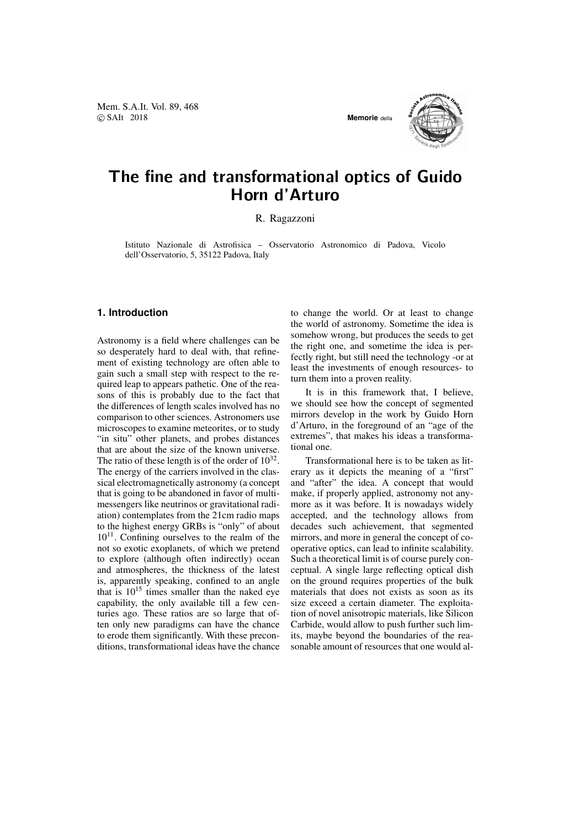Mem. S.A.It. Vol. 89, 468 c SAIt 2018 **Memorie** della





## The fine and transformational optics of Guido Horn d'Arturo

R. Ragazzoni

Istituto Nazionale di Astrofisica – Osservatorio Astronomico di Padova, Vicolo dell'Osservatorio, 5, 35122 Padova, Italy

## **1. Introduction**

Astronomy is a field where challenges can be so desperately hard to deal with, that refinement of existing technology are often able to gain such a small step with respect to the required leap to appears pathetic. One of the reasons of this is probably due to the fact that the differences of length scales involved has no comparison to other sciences. Astronomers use microscopes to examine meteorites, or to study "in situ" other planets, and probes distances that are about the size of the known universe. The ratio of these length is of the order of  $10^{32}$ . The energy of the carriers involved in the classical electromagnetically astronomy (a concept that is going to be abandoned in favor of multimessengers like neutrinos or gravitational radiation) contemplates from the 21cm radio maps to the highest energy GRBs is "only" of about  $10^{11}$ . Confining ourselves to the realm of the not so exotic exoplanets, of which we pretend to explore (although often indirectly) ocean and atmospheres, the thickness of the latest is, apparently speaking, confined to an angle that is  $10^{15}$  times smaller than the naked eye capability, the only available till a few centuries ago. These ratios are so large that often only new paradigms can have the chance to erode them significantly. With these preconditions, transformational ideas have the chance

to change the world. Or at least to change the world of astronomy. Sometime the idea is somehow wrong, but produces the seeds to get the right one, and sometime the idea is perfectly right, but still need the technology -or at least the investments of enough resources- to turn them into a proven reality.

It is in this framework that, I believe, we should see how the concept of segmented mirrors develop in the work by Guido Horn d'Arturo, in the foreground of an "age of the extremes", that makes his ideas a transformational one.

Transformational here is to be taken as literary as it depicts the meaning of a "first" and "after" the idea. A concept that would make, if properly applied, astronomy not anymore as it was before. It is nowadays widely accepted, and the technology allows from decades such achievement, that segmented mirrors, and more in general the concept of cooperative optics, can lead to infinite scalability. Such a theoretical limit is of course purely conceptual. A single large reflecting optical dish on the ground requires properties of the bulk materials that does not exists as soon as its size exceed a certain diameter. The exploitation of novel anisotropic materials, like Silicon Carbide, would allow to push further such limits, maybe beyond the boundaries of the reasonable amount of resources that one would al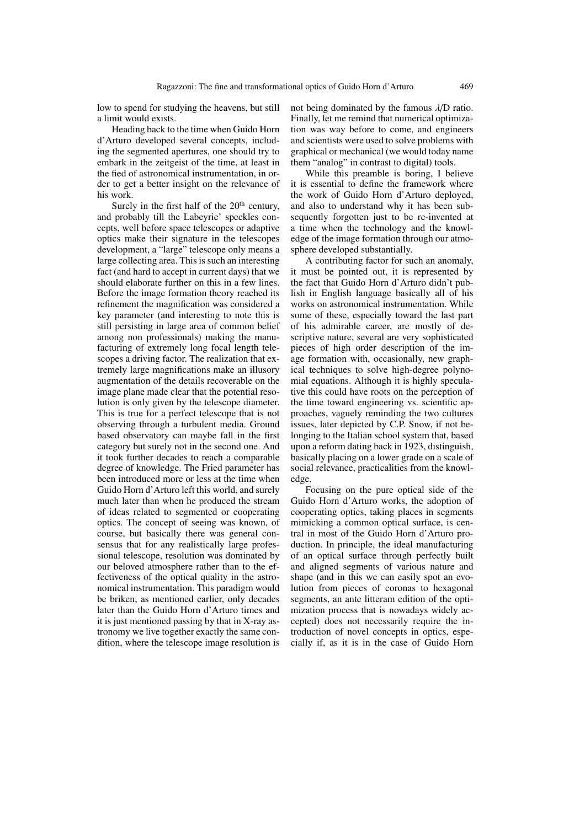low to spend for studying the heavens, but still a limit would exists.

Heading back to the time when Guido Horn d'Arturo developed several concepts, including the segmented apertures, one should try to embark in the zeitgeist of the time, at least in the fied of astronomical instrumentation, in order to get a better insight on the relevance of his work.

Surely in the first half of the  $20<sup>th</sup>$  century, and probably till the Labeyrie' speckles concepts, well before space telescopes or adaptive optics make their signature in the telescopes development, a "large" telescope only means a large collecting area. This is such an interesting fact (and hard to accept in current days) that we should elaborate further on this in a few lines. Before the image formation theory reached its refinement the magnification was considered a key parameter (and interesting to note this is still persisting in large area of common belief among non professionals) making the manufacturing of extremely long focal length telescopes a driving factor. The realization that extremely large magnifications make an illusory augmentation of the details recoverable on the image plane made clear that the potential resolution is only given by the telescope diameter. This is true for a perfect telescope that is not observing through a turbulent media. Ground based observatory can maybe fall in the first category but surely not in the second one. And it took further decades to reach a comparable degree of knowledge. The Fried parameter has been introduced more or less at the time when Guido Horn d'Arturo left this world, and surely much later than when he produced the stream of ideas related to segmented or cooperating optics. The concept of seeing was known, of course, but basically there was general consensus that for any realistically large professional telescope, resolution was dominated by our beloved atmosphere rather than to the effectiveness of the optical quality in the astronomical instrumentation. This paradigm would be briken, as mentioned earlier, only decades later than the Guido Horn d'Arturo times and it is just mentioned passing by that in X-ray astronomy we live together exactly the same condition, where the telescope image resolution is

not being dominated by the famous  $\lambda/D$  ratio. Finally, let me remind that numerical optimization was way before to come, and engineers and scientists were used to solve problems with graphical or mechanical (we would today name them "analog" in contrast to digital) tools.

While this preamble is boring, I believe it is essential to define the framework where the work of Guido Horn d'Arturo deployed, and also to understand why it has been subsequently forgotten just to be re-invented at a time when the technology and the knowledge of the image formation through our atmosphere developed substantially.

A contributing factor for such an anomaly, it must be pointed out, it is represented by the fact that Guido Horn d'Arturo didn't publish in English language basically all of his works on astronomical instrumentation. While some of these, especially toward the last part of his admirable career, are mostly of descriptive nature, several are very sophisticated pieces of high order description of the image formation with, occasionally, new graphical techniques to solve high-degree polynomial equations. Although it is highly speculative this could have roots on the perception of the time toward engineering vs. scientific approaches, vaguely reminding the two cultures issues, later depicted by C.P. Snow, if not belonging to the Italian school system that, based upon a reform dating back in 1923, distinguish, basically placing on a lower grade on a scale of social relevance, practicalities from the knowledge.

Focusing on the pure optical side of the Guido Horn d'Arturo works, the adoption of cooperating optics, taking places in segments mimicking a common optical surface, is central in most of the Guido Horn d'Arturo production. In principle, the ideal manufacturing of an optical surface through perfectly built and aligned segments of various nature and shape (and in this we can easily spot an evolution from pieces of coronas to hexagonal segments, an ante litteram edition of the optimization process that is nowadays widely accepted) does not necessarily require the introduction of novel concepts in optics, especially if, as it is in the case of Guido Horn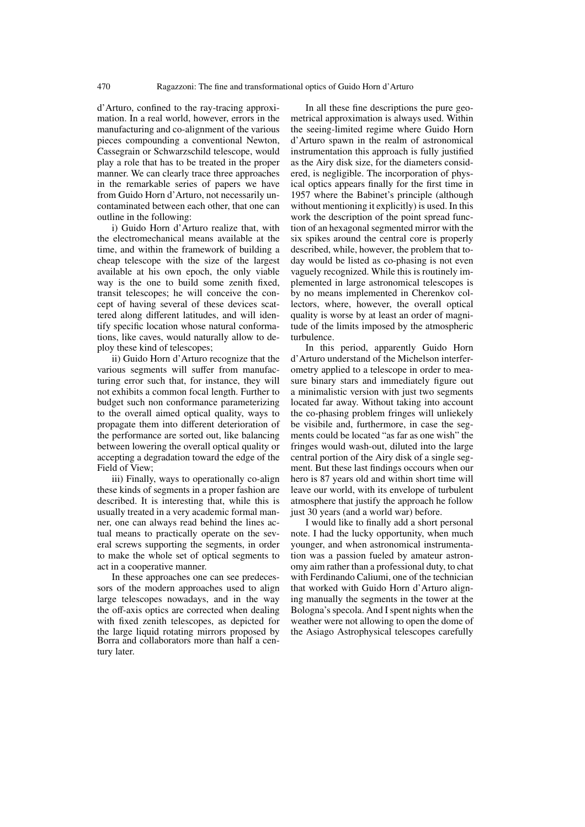d'Arturo, confined to the ray-tracing approximation. In a real world, however, errors in the manufacturing and co-alignment of the various pieces compounding a conventional Newton, Cassegrain or Schwarzschild telescope, would play a role that has to be treated in the proper manner. We can clearly trace three approaches in the remarkable series of papers we have from Guido Horn d'Arturo, not necessarily uncontaminated between each other, that one can outline in the following:

i) Guido Horn d'Arturo realize that, with the electromechanical means available at the time, and within the framework of building a cheap telescope with the size of the largest available at his own epoch, the only viable way is the one to build some zenith fixed, transit telescopes; he will conceive the concept of having several of these devices scattered along different latitudes, and will identify specific location whose natural conformations, like caves, would naturally allow to deploy these kind of telescopes;

ii) Guido Horn d'Arturo recognize that the various segments will suffer from manufacturing error such that, for instance, they will not exhibits a common focal length. Further to budget such non conformance parameterizing to the overall aimed optical quality, ways to propagate them into different deterioration of the performance are sorted out, like balancing between lowering the overall optical quality or accepting a degradation toward the edge of the Field of View;

iii) Finally, ways to operationally co-align these kinds of segments in a proper fashion are described. It is interesting that, while this is usually treated in a very academic formal manner, one can always read behind the lines actual means to practically operate on the several screws supporting the segments, in order to make the whole set of optical segments to act in a cooperative manner.

In these approaches one can see predecessors of the modern approaches used to align large telescopes nowadays, and in the way the off-axis optics are corrected when dealing with fixed zenith telescopes, as depicted for the large liquid rotating mirrors proposed by Borra and collaborators more than half a century later.

In all these fine descriptions the pure geometrical approximation is always used. Within the seeing-limited regime where Guido Horn d'Arturo spawn in the realm of astronomical instrumentation this approach is fully justified as the Airy disk size, for the diameters considered, is negligible. The incorporation of physical optics appears finally for the first time in 1957 where the Babinet's principle (although without mentioning it explicitly) is used. In this work the description of the point spread function of an hexagonal segmented mirror with the six spikes around the central core is properly described, while, however, the problem that today would be listed as co-phasing is not even vaguely recognized. While this is routinely implemented in large astronomical telescopes is by no means implemented in Cherenkov collectors, where, however, the overall optical quality is worse by at least an order of magnitude of the limits imposed by the atmospheric turbulence.

In this period, apparently Guido Horn d'Arturo understand of the Michelson interferometry applied to a telescope in order to measure binary stars and immediately figure out a minimalistic version with just two segments located far away. Without taking into account the co-phasing problem fringes will unliekely be visibile and, furthermore, in case the segments could be located "as far as one wish" the fringes would wash-out, diluted into the large central portion of the Airy disk of a single segment. But these last findings occours when our hero is 87 years old and within short time will leave our world, with its envelope of turbulent atmosphere that justify the approach he follow just 30 years (and a world war) before.

I would like to finally add a short personal note. I had the lucky opportunity, when much younger, and when astronomical instrumentation was a passion fueled by amateur astronomy aim rather than a professional duty, to chat with Ferdinando Caliumi, one of the technician that worked with Guido Horn d'Arturo aligning manually the segments in the tower at the Bologna's specola. And I spent nights when the weather were not allowing to open the dome of the Asiago Astrophysical telescopes carefully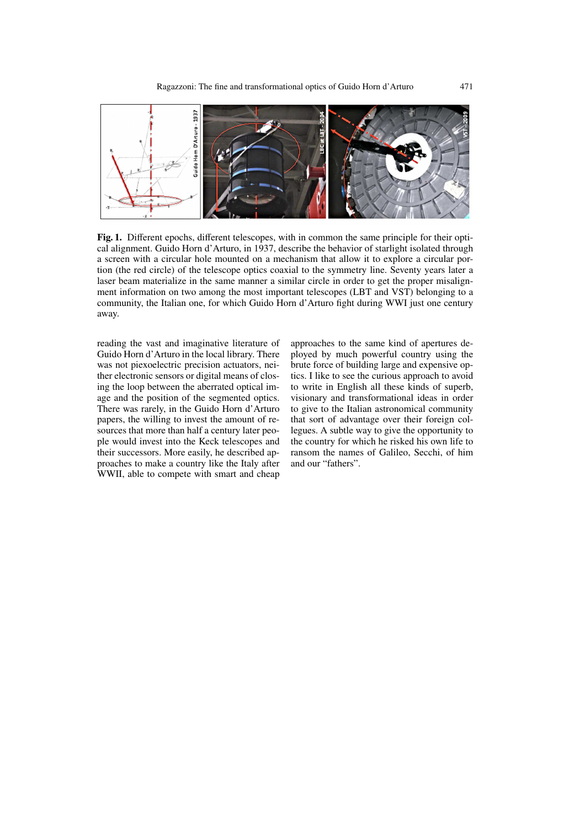

Fig. 1. Different epochs, different telescopes, with in common the same principle for their optical alignment. Guido Horn d'Arturo, in 1937, describe the behavior of starlight isolated through a screen with a circular hole mounted on a mechanism that allow it to explore a circular portion (the red circle) of the telescope optics coaxial to the symmetry line. Seventy years later a laser beam materialize in the same manner a similar circle in order to get the proper misalignment information on two among the most important telescopes (LBT and VST) belonging to a community, the Italian one, for which Guido Horn d'Arturo fight during WWI just one century away.

reading the vast and imaginative literature of Guido Horn d'Arturo in the local library. There was not piexoelectric precision actuators, neither electronic sensors or digital means of closing the loop between the aberrated optical image and the position of the segmented optics. There was rarely, in the Guido Horn d'Arturo papers, the willing to invest the amount of resources that more than half a century later people would invest into the Keck telescopes and their successors. More easily, he described approaches to make a country like the Italy after WWII, able to compete with smart and cheap approaches to the same kind of apertures deployed by much powerful country using the brute force of building large and expensive optics. I like to see the curious approach to avoid to write in English all these kinds of superb, visionary and transformational ideas in order to give to the Italian astronomical community that sort of advantage over their foreign collegues. A subtle way to give the opportunity to the country for which he risked his own life to ransom the names of Galileo, Secchi, of him and our "fathers".